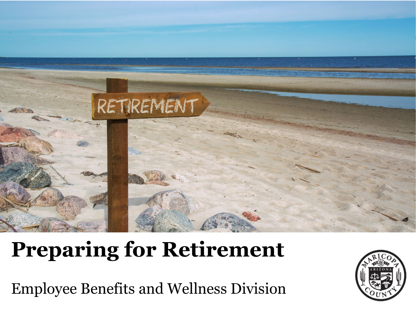

# **Preparing for Retirement**

Employee Benefits and Wellness Division

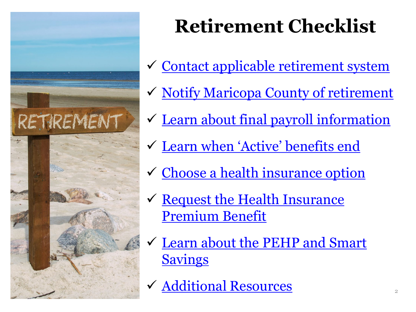

# **Retirement Checklist**

- ← [Contact applicable retirement system](#page-3-0)
- ◆ [Notify Maricopa County of retirement](#page-6-0)
- ✓ [Learn about final payroll information](#page-8-0)
- [Learn when 'Active' benefits end](#page-9-0)
- **✓ [Choose a health insurance option](#page-16-0)**
- $\checkmark$  Request the Health Insurance Premium Benefit
- [Learn about the PEHP and Smart](#page-33-0)  **Savings**
- [Additional Resources](#page-42-0) <sup>2</sup>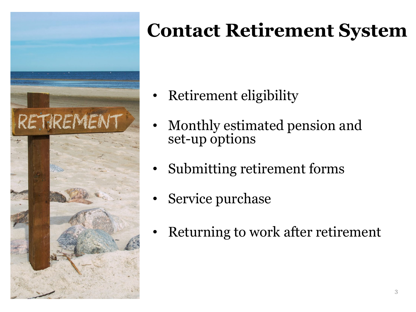

- Retirement eligibility
- Monthly estimated pension and set-up options
- Submitting retirement forms
- Service purchase
- Returning to work after retirement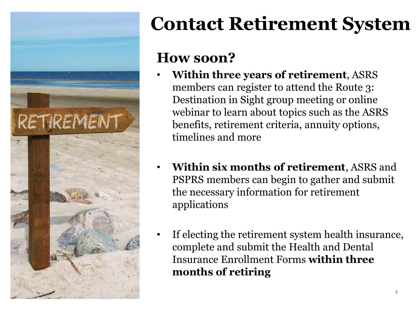<span id="page-3-0"></span>

#### **How soon?**

- **Within three years of retirement**, ASRS members can register to attend the Route 3: Destination in Sight group meeting or online webinar to learn about topics such as the ASRS benefits, retirement criteria, annuity options, timelines and more
- **Within six months of retirement**, ASRS and PSPRS members can begin to gather and submit the necessary information for retirement applications
- If electing the retirement system health insurance, complete and submit the Health and Dental Insurance Enrollment Forms **within three months of retiring**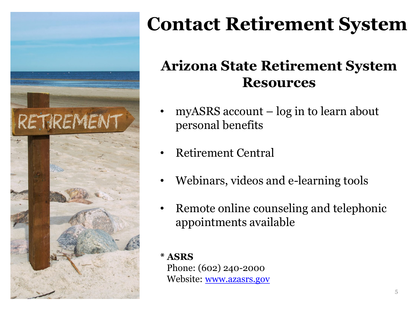

#### **Arizona State Retirement System Resources**

- $myASRS account log in to learn about$ personal benefits
- Retirement Central
- Webinars, videos and e-learning tools
- Remote online counseling and telephonic appointments available

#### **\* ASRS**

Phone: (602) 240-2000 Website: [www.azasrs.gov](http://www.azasrs.gov/)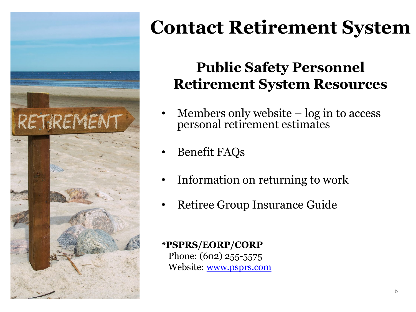

#### **Public Safety Personnel Retirement System Resources**

- Members only website log in to access personal retirement estimates
- Benefit FAQs
- Information on returning to work
- Retiree Group Insurance Guide

#### **\*PSPRS/EORP/CORP**

Phone: (602) 255-5575 Website: [www.psprs.com](http://www.psprs.com/)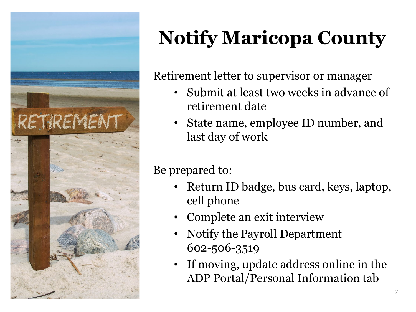<span id="page-6-0"></span>

# **Notify Maricopa County**

Retirement letter to supervisor or manager

- Submit at least two weeks in advance of retirement date
- State name, employee ID number, and last day of work

#### Be prepared to:

- Return ID badge, bus card, keys, laptop, cell phone
- Complete an exit interview
- Notify the Payroll Department 602-506-3519
- If moving, update address online in the ADP Portal/Personal Information tab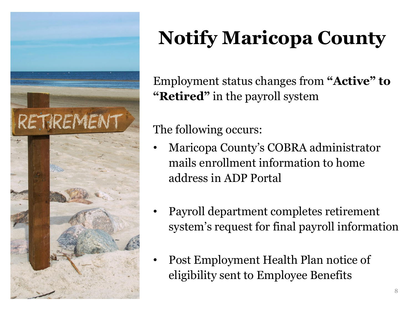

# **Notify Maricopa County**

Employment status changes from **"Active" to "Retired"** in the payroll system

#### The following occurs:

- Maricopa County's COBRA administrator mails enrollment information to home address in ADP Portal
- Payroll department completes retirement system's request for final payroll information
- Post Employment Health Plan notice of eligibility sent to Employee Benefits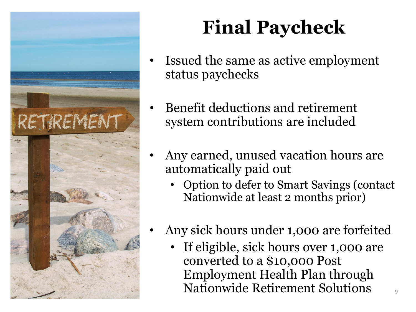<span id="page-8-0"></span>

# **Final Paycheck**

- Issued the same as active employment status paychecks
- Benefit deductions and retirement system contributions are included
- Any earned, unused vacation hours are automatically paid out
	- Option to defer to Smart Savings (contact Nationwide at least 2 months prior)
- Any sick hours under 1,000 are forfeited
	- If eligible, sick hours over 1,000 are converted to a \$10,000 Post Employment Health Plan through Nationwide Retirement Solutions <sup>9</sup>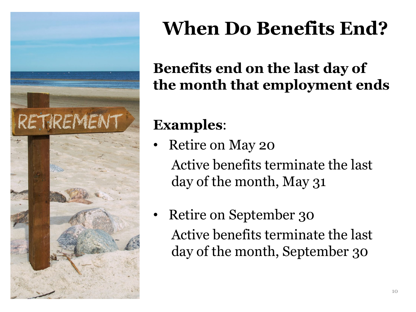<span id="page-9-0"></span>

## **When Do Benefits End?**

#### **Benefits end on the last day of the month that employment ends**

#### **Examples**:

- Retire on May 20 Active benefits terminate the last day of the month, May 31
- Retire on September 30 Active benefits terminate the last day of the month, September 30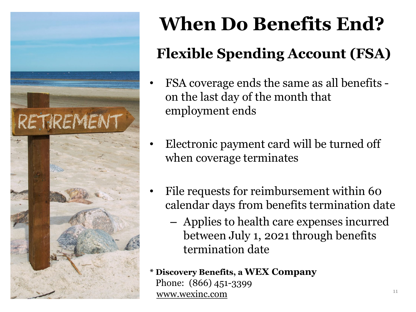

# **When Do Benefits End? Flexible Spending Account (FSA)**

- FSA coverage ends the same as all benefits on the last day of the month that employment ends
- Electronic payment card will be turned off when coverage terminates
- File requests for reimbursement within 60 calendar days from benefits termination date
	- Applies to health care expenses incurred between July 1, 2021 through benefits termination date

**\* Discovery Benefits, a WEX Company** Phone: (866) 451-3399 [www.wexinc.com](http://www.wexinc.com/) 11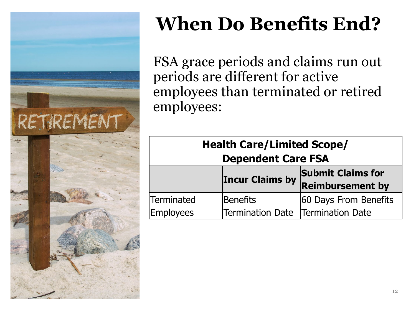

# **When Do Benefits End?**

FSA grace periods and claims run out periods are different for active employees than terminated or retired employees:

| <b>Health Care/Limited Scope/</b> |                                     |                          |  |  |  |
|-----------------------------------|-------------------------------------|--------------------------|--|--|--|
| <b>Dependent Care FSA</b>         |                                     |                          |  |  |  |
|                                   | <b>Incur Claims by</b>              | <b>Submit Claims for</b> |  |  |  |
|                                   |                                     | <b>Reimbursement by</b>  |  |  |  |
| <b>Terminated</b>                 | <b>Benefits</b>                     | 60 Days From Benefits    |  |  |  |
| <b>Employees</b>                  | Termination Date   Termination Date |                          |  |  |  |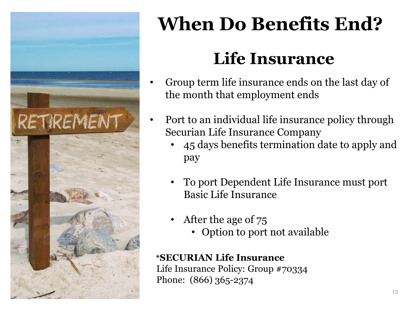

# **When Do Benefits End?**

### **Life Insurance**

- Group term life insurance ends on the last day of the month that employment ends
- Port to an individual life insurance policy through Securian Life Insurance Company
	- 45 days benefits termination date to apply and pay
	- To port Dependent Life Insurance must port Basic Life Insurance
	- After the age of 75
		- Option to port not available

#### **\*SECURIAN Life Insurance**

Life Insurance Policy: Group #70334 Phone: (866) 365-2374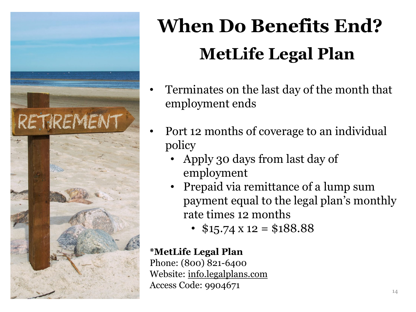

# **When Do Benefits End? MetLife Legal Plan**

- Terminates on the last day of the month that employment ends
- Port 12 months of coverage to an individual policy
	- Apply 30 days from last day of employment
	- Prepaid via remittance of a lump sum payment equal to the legal plan's monthly rate times 12 months
		- $$15.74 \text{ x } 12 = $188.88$

#### **\*MetLife Legal Plan**

Phone: (800) 821-6400 Website: [info.legalplans.com](https://members.legalplans.com/) Access Code: 9904671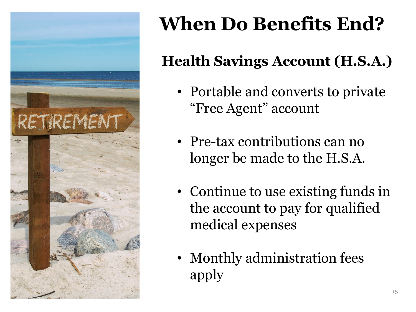

# **When Do Benefits End?**

### **Health Savings Account (H.S.A.)**

- Portable and converts to private "Free Agent" account
- Pre-tax contributions can no longer be made to the H.S.A.
- Continue to use existing funds in the account to pay for qualified medical expenses
- Monthly administration fees apply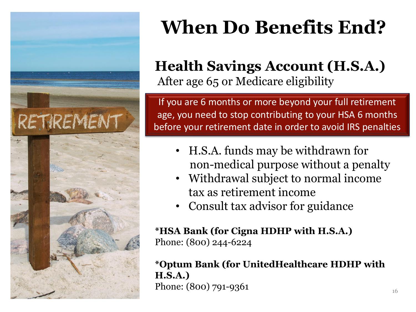

# **When Do Benefits End?**

#### **Health Savings Account (H.S.A.)** After age 65 or Medicare eligibility

If you are 6 months or more beyond your full retirement age, you need to stop contributing to your HSA 6 months before your retirement date in order to avoid IRS penalties

- H.S.A. funds may be withdrawn for non-medical purpose without a penalty
- Withdrawal subject to normal income tax as retirement income
- Consult tax advisor for guidance

#### **\*HSA Bank (for Cigna HDHP with H.S.A.)** Phone: (800) 244-6224

#### **\*Optum Bank (for UnitedHealthcare HDHP with H.S.A.)** Phone:  $(800)$  791-9361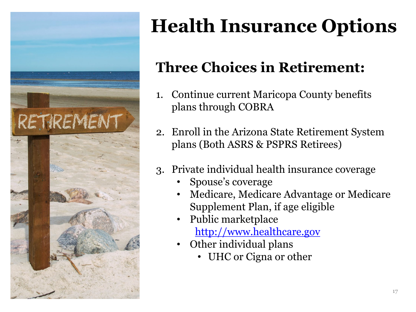<span id="page-16-0"></span>

# **Health Insurance Options**

#### **Three Choices in Retirement:**

- 1. Continue current Maricopa County benefits plans through COBRA
- 2. Enroll in the Arizona State Retirement System plans (Both ASRS & PSPRS Retirees)
- 3. Private individual health insurance coverage
	- Spouse's coverage
	- Medicare, Medicare Advantage or Medicare Supplement Plan, if age eligible
	- Public marketplace [http://www.healthcare.gov](http://www.healthcare.gov/)
	- Other individual plans
		- UHC or Cigna or other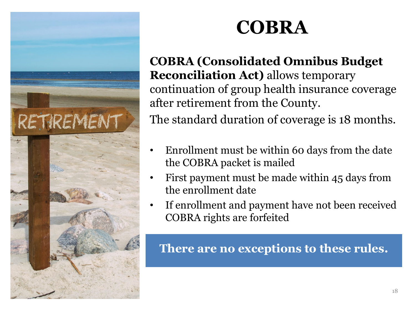

**COBRA (Consolidated Omnibus Budget Reconciliation Act)** allows temporary continuation of group health insurance coverage after retirement from the County. The standard duration of coverage is 18 months.

- Enrollment must be within 60 days from the date the COBRA packet is mailed
- First payment must be made within 45 days from the enrollment date
- If enrollment and payment have not been received COBRA rights are forfeited

**There are no exceptions to these rules.**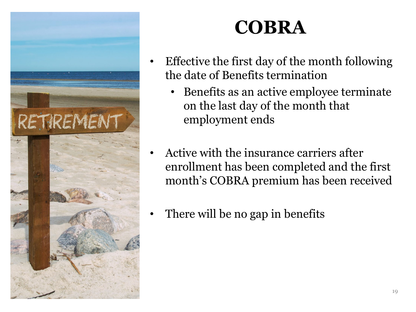

- Effective the first day of the month following the date of Benefits termination
	- Benefits as an active employee terminate on the last day of the month that employment ends
- Active with the insurance carriers after enrollment has been completed and the first month's COBRA premium has been received
- There will be no gap in benefits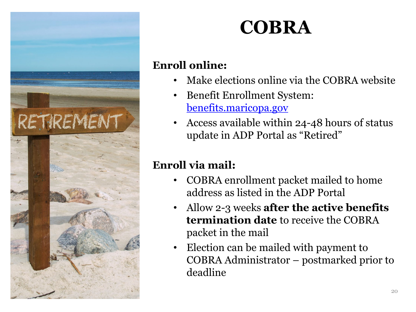

#### **Enroll online:**

- Make elections online via the COBRA website
- Benefit Enrollment System: [benefits.maricopa.gov](https://www.benefitsolver.com/benefits/BenefitSolverView?page_name=signon&co_num=21081&co_affid=maricopa)
- Access available within 24-48 hours of status update in ADP Portal as "Retired"

#### **Enroll via mail:**

- COBRA enrollment packet mailed to home address as listed in the ADP Portal
- Allow 2-3 weeks **after the active benefits termination date** to receive the COBRA packet in the mail
- Election can be mailed with payment to COBRA Administrator – postmarked prior to deadline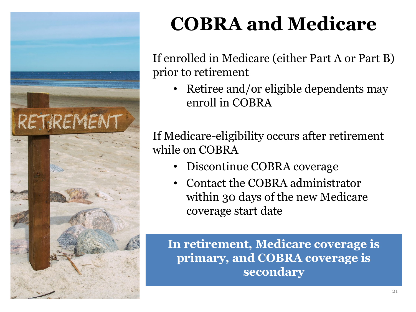

# **COBRA and Medicare**

If enrolled in Medicare (either Part A or Part B) prior to retirement

• Retiree and/or eligible dependents may enroll in COBRA

If Medicare-eligibility occurs after retirement while on COBRA

- Discontinue COBRA coverage
- Contact the COBRA administrator within 30 days of the new Medicare coverage start date

**In retirement, Medicare coverage is primary, and COBRA coverage is secondary**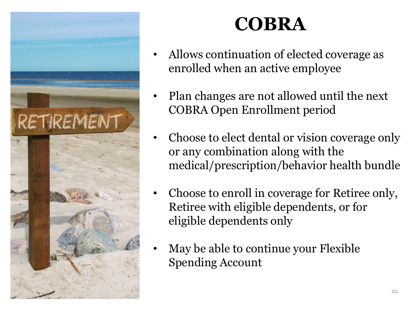

- Allows continuation of elected coverage as enrolled when an active employee
- Plan changes are not allowed until the next COBRA Open Enrollment period
- Choose to elect dental or vision coverage only or any combination along with the medical/prescription/behavior health bundle
- Choose to enroll in coverage for Retiree only, Retiree with eligible dependents, or for eligible dependents only
- May be able to continue your Flexible Spending Account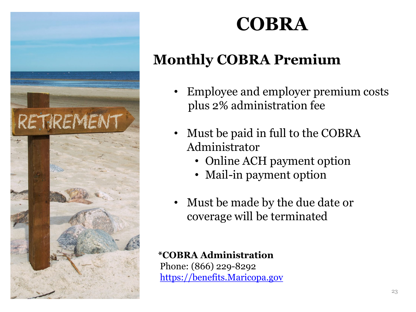

#### **Monthly COBRA Premium**

- Employee and employer premium costs plus 2% administration fee
- Must be paid in full to the COBRA Administrator
	- Online ACH payment option
	- Mail-in payment option
- Must be made by the due date or coverage will be terminated

#### **\*COBRA Administration**

Phone: (866) 229-8292 [https://benefits.Maricopa.gov](https://benefits.maricopa.gov/)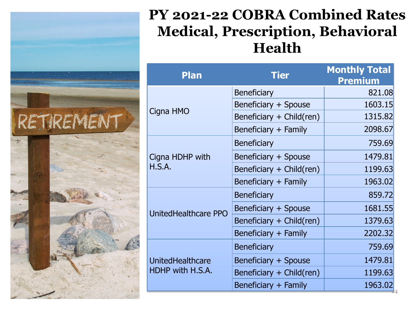#### **PY 2021-22 COBRA Combined Rates Medical, Prescription, Behavioral Health**

| <b>Plan</b>             | <b>Tier</b>              | <b>Monthly Total</b><br><b>Premium</b> |
|-------------------------|--------------------------|----------------------------------------|
|                         | <b>Beneficiary</b>       | 821.08                                 |
|                         | Beneficiary + Spouse     | 1603.15                                |
| Cigna HMO               | Beneficiary + Child(ren) | 1315.82                                |
|                         | Beneficiary + Family     | 2098.67                                |
|                         | <b>Beneficiary</b>       | 759.69                                 |
| Cigna HDHP with         | Beneficiary + Spouse     | 1479.81                                |
| H.S.A.                  | Beneficiary + Child(ren) | 1199.63                                |
|                         | Beneficiary + Family     | 1963.02                                |
|                         | <b>Beneficiary</b>       | 859.72                                 |
| UnitedHealthcare PPO    | Beneficiary + Spouse     | 1681.55                                |
|                         | Beneficiary + Child(ren) | 1379.63                                |
|                         | Beneficiary + Family     | 2202.32                                |
|                         | <b>Beneficiary</b>       | 759.69                                 |
| <b>UnitedHealthcare</b> | Beneficiary + Spouse     | 1479.81                                |
| HDHP with H.S.A.        | Beneficiary + Child(ren) | 1199.63                                |
|                         | Beneficiary + Family     | 1963.02                                |

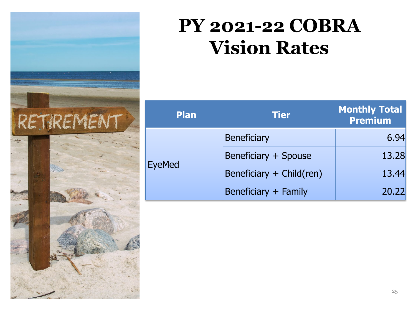

### **PY 2021-22 COBRA Vision Rates**

| <b>Plan</b> | <b>Tier</b>              | <b>Monthly Total</b><br><b>Premium</b> |
|-------------|--------------------------|----------------------------------------|
|             | <b>Beneficiary</b>       | 6.94                                   |
|             | Beneficiary + Spouse     | 13.28                                  |
| yeMed       | Beneficiary + Child(ren) | 13.44                                  |
|             | Beneficiary + Family     | 20.22                                  |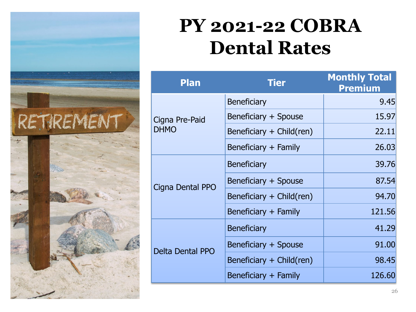

### **PY 2021-22 COBRA Dental Rates**

| <b>Plan</b>                   | <b>Tier</b>              | <b>Monthly Total</b><br><b>Premium</b> |
|-------------------------------|--------------------------|----------------------------------------|
| Cigna Pre-Paid<br><b>DHMO</b> | <b>Beneficiary</b>       | 9.45                                   |
|                               | Beneficiary + Spouse     | 15.97                                  |
|                               | Beneficiary + Child(ren) | 22.11                                  |
|                               | Beneficiary + Family     | 26.03                                  |
|                               | <b>Beneficiary</b>       | 39.76                                  |
| Cigna Dental PPO              | Beneficiary + Spouse     | 87.54                                  |
|                               | Beneficiary + Child(ren) | 94.70                                  |
|                               | Beneficiary + Family     | 121.56                                 |
| <b>Delta Dental PPO</b>       | <b>Beneficiary</b>       | 41.29                                  |
|                               | Beneficiary + Spouse     | 91.00                                  |
|                               | Beneficiary + Child(ren) | 98.45                                  |
|                               | Beneficiary + Family     | 126.60                                 |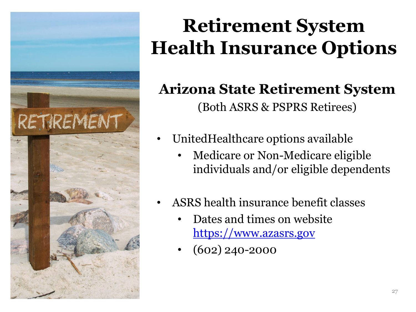

## **Retirement System Health Insurance Options**

#### **Arizona State Retirement System** (Both ASRS & PSPRS Retirees)

- UnitedHealthcare options available
	- Medicare or Non-Medicare eligible individuals and/or eligible dependents
- ASRS health insurance benefit classes
	- Dates and times on website [https://www.azasrs.gov](https://www.azasrs.gov/)
	- (602) 240-2000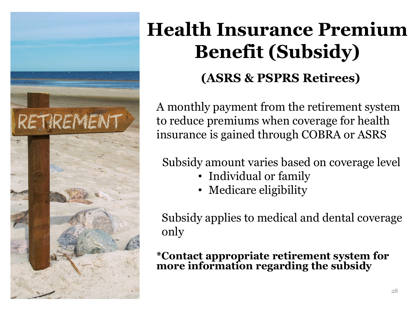<span id="page-27-0"></span>

## **Health Insurance Premium Benefit (Subsidy) (ASRS & PSPRS Retirees)**

A monthly payment from the retirement system to reduce premiums when coverage for health insurance is gained through COBRA or ASRS

Subsidy amount varies based on coverage level

- Individual or family
- Medicare eligibility

Subsidy applies to medical and dental coverage only

**\*Contact appropriate retirement system for more information regarding the subsidy**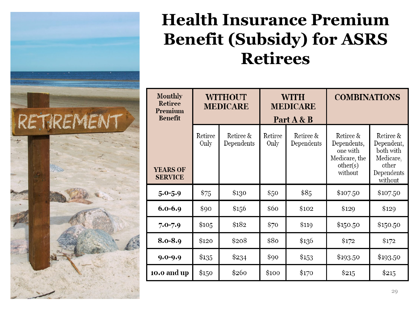

| <b>Monthly</b><br>Retiree<br>Premium<br><b>Benefit</b> | <b>WITHOUT</b><br><b>MEDICARE</b> |                         | <b>WITH</b><br><b>MEDICARE</b><br>Part A & B |                         | <b>COMBINATIONS</b>                                                          |                                                                                     |
|--------------------------------------------------------|-----------------------------------|-------------------------|----------------------------------------------|-------------------------|------------------------------------------------------------------------------|-------------------------------------------------------------------------------------|
| <b>YEARS OF</b><br><b>SERVICE</b>                      | Retiree<br>Only                   | Retiree &<br>Dependents | Retiree<br>Only                              | Retiree &<br>Dependents | Retiree &<br>Dependents,<br>one with<br>Medicare, the<br>other(s)<br>without | Retiree &<br>Dependent,<br>both with<br>Medicare,<br>other<br>Dependents<br>without |
| $5.0 - 5.9$                                            | \$75                              | \$130                   | \$50                                         | \$85                    | \$107.50                                                                     | \$107.50                                                                            |
| $6.0 - 6.9$                                            | \$90                              | \$156                   | \$60                                         | \$102                   | \$129                                                                        | \$129                                                                               |
| $7.0 - 7.9$                                            | \$105                             | \$182                   | \$70                                         | \$119                   | \$150.50                                                                     | \$150.50                                                                            |
| 8.0-8.9                                                | \$120                             | \$208                   | \$80                                         | \$136                   | \$172                                                                        | \$172                                                                               |
| $9.0 - 9.9$                                            | \$135                             | \$234                   | \$90                                         | \$153                   | \$193.50                                                                     | \$193.50                                                                            |
| 10.0 and up                                            | \$150                             | \$260                   | \$100                                        | \$170                   | \$215                                                                        | \$215                                                                               |

RETIREMENT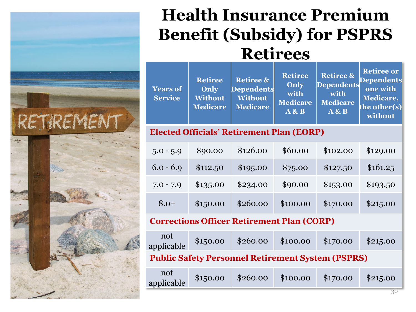### **Health Insurance Premium Benefit (Subsidy) for PSPRS Retirees**

| <b>Years of</b><br><b>Service</b>                        | <b>Retiree</b><br><b>Only</b><br><b>Without</b><br><b>Medicare</b> | <b>Retiree &amp;</b><br><b>Dependents</b><br><b>Without</b><br><b>Medicare</b> | <b>Retiree</b><br>Only<br>with<br><b>Medicare</b><br>A & B | <b>Retiree &amp;</b><br><b>Dependents</b><br>with<br><b>Medicare</b><br>A & B | <b>Retiree or</b><br><b>Dependents</b><br>one with<br>Medicare,<br>the other(s)<br>without |  |
|----------------------------------------------------------|--------------------------------------------------------------------|--------------------------------------------------------------------------------|------------------------------------------------------------|-------------------------------------------------------------------------------|--------------------------------------------------------------------------------------------|--|
| <b>Elected Officials' Retirement Plan (EORP)</b>         |                                                                    |                                                                                |                                                            |                                                                               |                                                                                            |  |
| $5.0 - 5.9$                                              | \$90.00                                                            | \$126.00                                                                       | \$60.00                                                    | \$102.00                                                                      | \$129.00                                                                                   |  |
| $6.0 - 6.9$                                              | \$112.50                                                           | \$195.00                                                                       | \$75.00                                                    | \$127.50                                                                      | \$161.25                                                                                   |  |
| $7.0 - 7.9$                                              | \$135.00                                                           | \$234.00                                                                       | \$90.00                                                    | \$153.00                                                                      | \$193.50                                                                                   |  |
| $8.0+$                                                   | \$150.00                                                           | \$260.00                                                                       | \$100.00                                                   | \$170.00                                                                      | \$215.00                                                                                   |  |
| <b>Corrections Officer Retirement Plan (CORP)</b>        |                                                                    |                                                                                |                                                            |                                                                               |                                                                                            |  |
| not<br>applicable                                        | \$150.00                                                           | \$260.00                                                                       | \$100.00                                                   | \$170.00                                                                      | \$215.00                                                                                   |  |
| <b>Public Safety Personnel Retirement System (PSPRS)</b> |                                                                    |                                                                                |                                                            |                                                                               |                                                                                            |  |
| not<br>applicable                                        | \$150.00                                                           | \$260.00                                                                       | \$100.00                                                   | \$170.00                                                                      | \$215.00                                                                                   |  |

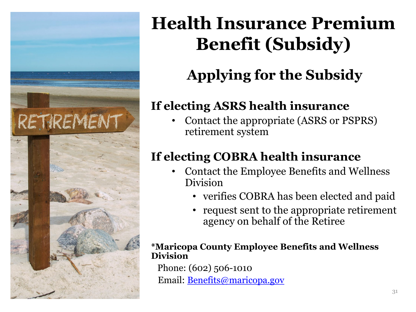

### **Health Insurance Premium Benefit (Subsidy)**

### **Applying for the Subsidy**

#### **If electing ASRS health insurance**

• Contact the appropriate (ASRS or PSPRS) retirement system

#### **If electing COBRA health insurance**

- Contact the Employee Benefits and Wellness Division
	- verifies COBRA has been elected and paid
	- request sent to the appropriate retirement agency on behalf of the Retiree

#### **\*Maricopa County Employee Benefits and Wellness Division**

Phone: (602) 506-1010 Email: **[Benefits@maricopa.gov](mailto:Benefits@maricopa.gov)**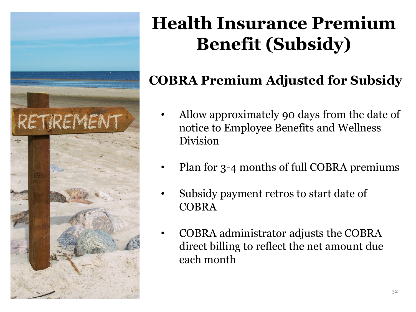

### **Health Insurance Premium Benefit (Subsidy)**

#### **COBRA Premium Adjusted for Subsidy**

- Allow approximately 90 days from the date of notice to Employee Benefits and Wellness Division
- Plan for 3-4 months of full COBRA premiums
- Subsidy payment retros to start date of COBRA
- COBRA administrator adjusts the COBRA direct billing to reflect the net amount due each month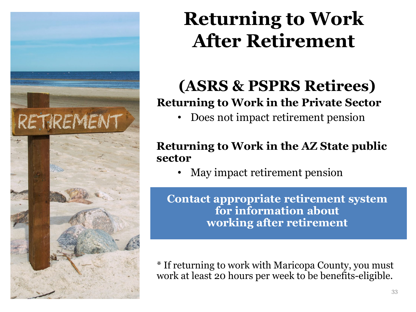

### **Returning to Work After Retirement**

#### **(ASRS & PSPRS Retirees) Returning to Work in the Private Sector**

• Does not impact retirement pension

#### **Returning to Work in the AZ State public sector**

• May impact retirement pension

**Contact appropriate retirement system for information about working after retirement**

\* If returning to work with Maricopa County, you must work at least 20 hours per week to be benefits-eligible.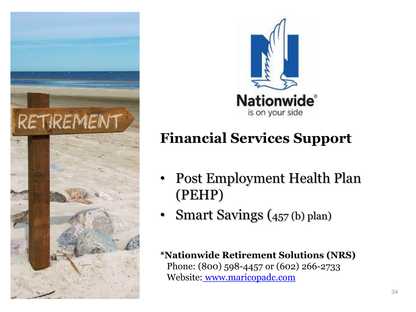<span id="page-33-0"></span>



#### **Financial Services Support**

- Post Employment Health Plan (PEHP)
- Smart Savings (457 (b) plan)

**\*Nationwide Retirement Solutions (NRS)** Phone: (800) 598-4457 or (602) 266-2733 Website: [www.maricopadc.com](http://www.maricopadc.com/)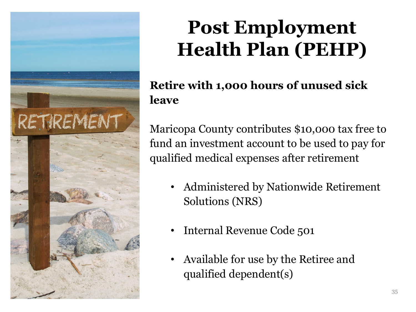

#### **Retire with 1,000 hours of unused sick leave**

Maricopa County contributes \$10,000 tax free to fund an investment account to be used to pay for qualified medical expenses after retirement

- Administered by Nationwide Retirement Solutions (NRS)
- Internal Revenue Code 501
- Available for use by the Retiree and qualified dependent(s)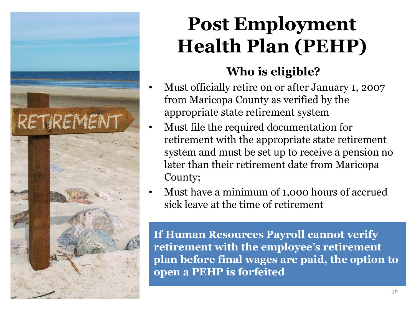

#### **Who is eligible?**

- Must officially retire on or after January 1, 2007 from Maricopa County as verified by the appropriate state retirement system
- Must file the required documentation for retirement with the appropriate state retirement system and must be set up to receive a pension no later than their retirement date from Maricopa County;
- Must have a minimum of 1,000 hours of accrued sick leave at the time of retirement

**If Human Resources Payroll cannot verify retirement with the employee's retirement plan before final wages are paid, the option to open a PEHP is forfeited**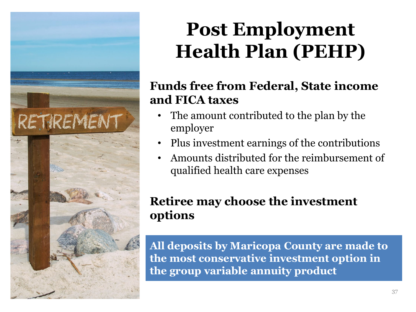

#### **Funds free from Federal, State income and FICA taxes**

- The amount contributed to the plan by the employer
- Plus investment earnings of the contributions
- Amounts distributed for the reimbursement of qualified health care expenses

#### **Retiree may choose the investment options**

**All deposits by Maricopa County are made to the most conservative investment option in the group variable annuity product**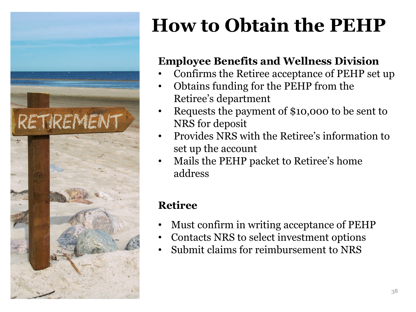

# **How to Obtain the PEHP**

#### **Employee Benefits and Wellness Division**

- Confirms the Retiree acceptance of PEHP set up
- Obtains funding for the PEHP from the Retiree's department
- Requests the payment of \$10,000 to be sent to NRS for deposit
- Provides NRS with the Retiree's information to set up the account
- Mails the PEHP packet to Retiree's home address

#### **Retiree**

- Must confirm in writing acceptance of PEHP
- Contacts NRS to select investment options
- Submit claims for reimbursement to NRS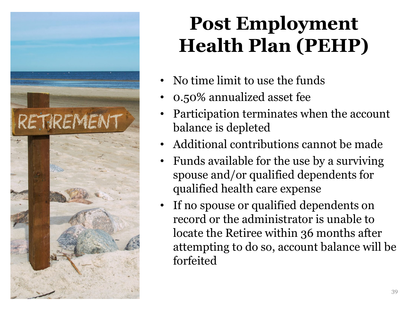

- No time limit to use the funds
- 0.50% annualized asset fee
- Participation terminates when the account balance is depleted
- Additional contributions cannot be made
- Funds available for the use by a surviving spouse and/or qualified dependents for qualified health care expense
- If no spouse or qualified dependents on record or the administrator is unable to locate the Retiree within 36 months after attempting to do so, account balance will be forfeited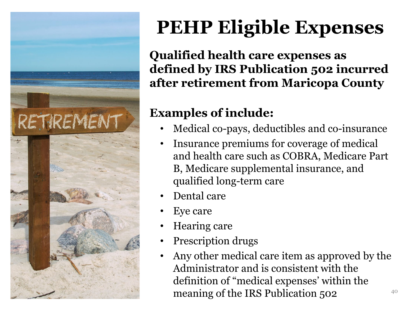

# **PEHP Eligible Expenses**

**Qualified health care expenses as defined by IRS Publication 502 incurred after retirement from Maricopa County** 

#### **Examples of include:**

- Medical co-pays, deductibles and co-insurance
- Insurance premiums for coverage of medical and health care such as COBRA, Medicare Part B, Medicare supplemental insurance, and qualified long-term care
- Dental care
- Eye care
- Hearing care
- Prescription drugs
- Any other medical care item as approved by the Administrator and is consistent with the definition of "medical expenses' within the meaning of the IRS Publication  $502$ <sup>40</sup>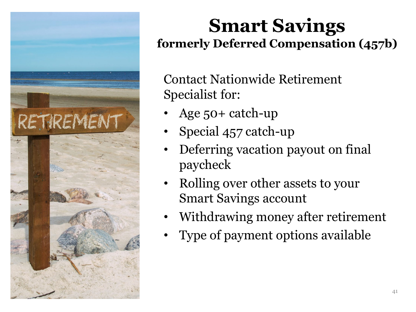

### **Smart Savings formerly Deferred Compensation (457b)**

Contact Nationwide Retirement Specialist for:

- Age 50+ catch-up
- Special 457 catch-up
- Deferring vacation payout on final paycheck
- Rolling over other assets to your Smart Savings account
- Withdrawing money after retirement
- Type of payment options available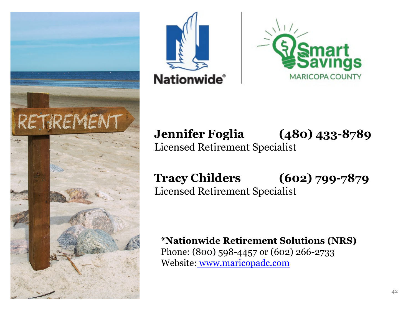





**Jennifer Foglia (480) 433-8789** Licensed Retirement Specialist

**Tracy Childers (602) 799-7879** Licensed Retirement Specialist

**\*Nationwide Retirement Solutions (NRS)** Phone: (800) 598-4457 or (602) 266-2733 Website: [www.maricopadc.com](http://www.maricopadc.com/)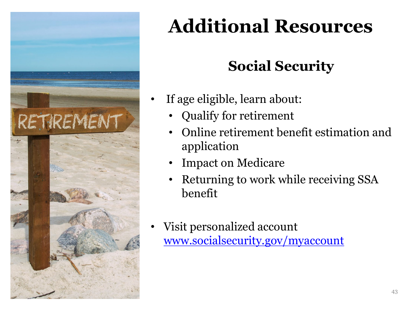<span id="page-42-0"></span>

#### **Social Security**

- If age eligible, learn about:
	- Qualify for retirement
	- Online retirement benefit estimation and application
	- Impact on Medicare
	- Returning to work while receiving SSA benefit
- Visit personalized account [www.socialsecurity.gov/myaccount](http://www.socialsecurity.gov/myaccount)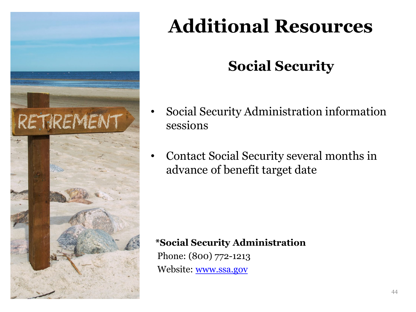

#### **Social Security**

- Social Security Administration information sessions
- Contact Social Security several months in advance of benefit target date

#### **\*Social Security Administration**

Phone: (800) 772-1213 Website: [www.ssa.gov](http://www.ssa.gov/)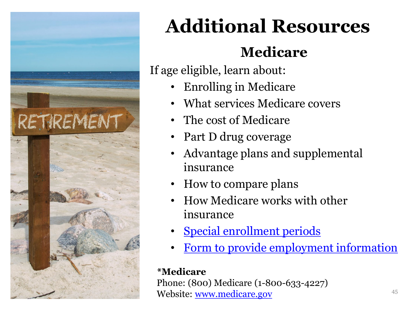

#### **Medicare**

If age eligible, learn about:

- Enrolling in Medicare
- What services Medicare covers
- The cost of Medicare
- Part D drug coverage
- Advantage plans and supplemental insurance
- How to compare plans
- How Medicare works with other insurance
- [Special enrollment periods](https://www.medicare.gov/sign-up-change-plans/get-parts-a-and-b/when-sign-up-parts-a-and-b/when-sign-up-parts-a-and-b.html)
- [Form to provide employment information](https://www.cms.gov/Medicare/CMS-Forms/CMS-Forms/Downloads/CMS-L564E.pdf)

#### **\*Medicare**

Phone: (800) Medicare (1-800-633-4227) Website: [www.medicare.gov](http://www.ssa.gov/)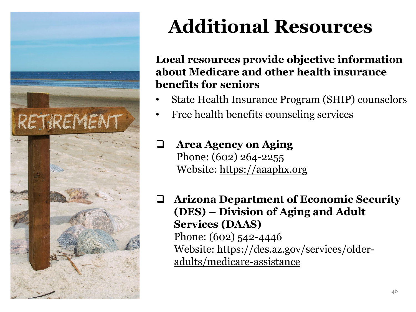

#### **Local resources provide objective information about Medicare and other health insurance benefits for seniors**

- State Health Insurance Program (SHIP) counselors
- Free health benefits counseling services

 **Area Agency on Aging**  Phone: (602) 264-2255 Website: [https://aaaphx.org](https://aaaphx.org/)

 **Arizona Department of Economic Security (DES) – Division of Aging and Adult Services (DAAS)** Phone: (602) 542-4446 [Website: https://des.az.gov/services/older](https://des.az.gov/services/older-adults/medicare-assistance)adults/medicare-assistance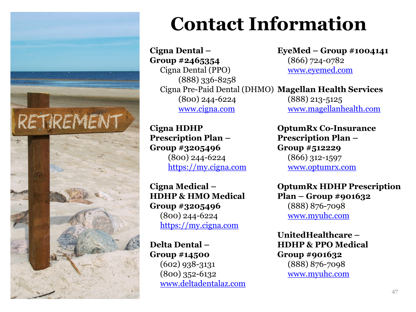

## **Contact Information**

**Cigna Dental – Group #2465354** Cigna Dental (PPO) (888) 336-8258 Cigna Pre-Paid Dental (DHMO) **Magellan Health Services** (800) 244-6224 [www.cigna.com](http://www.cigna.com/)

**Cigna HDHP Prescription Plan – Group #3205496**  (800) 244-6224 [https://my.cigna.com](https://my.cigna.com/)

**Cigna Medical – HDHP & HMO Medical Group #3205496** (800) 244-6224 [https://my.cigna.com](https://my.cigna.com/)

**Delta Dental – Group #14500** (602) 938-3131 (800) 352-6132 [www.deltadentalaz.com](http://www.deltadentalaz.com/) **EyeMed – Group #1004141** (866) 724-0782 [www.eyemed.com](http://www.eyemed.com/)

(888) 213-5125 [www.magellanhealth.com](http://www.magellanhealth.com/)

**OptumRx Co-Insurance Prescription Plan – Group #512229** (866) 312-1597 [www.optumrx.com](https://www.optumrx.com/public/landing)

**OptumRx HDHP Prescription Plan – Group #901632** (888) 876-7098 [www.myuhc.com](http://www.myuhc.com/)

**UnitedHealthcare – HDHP & PPO Medical Group #901632** (888) 876-7098 [www.myuhc.com](http://www.myuhc.com/)